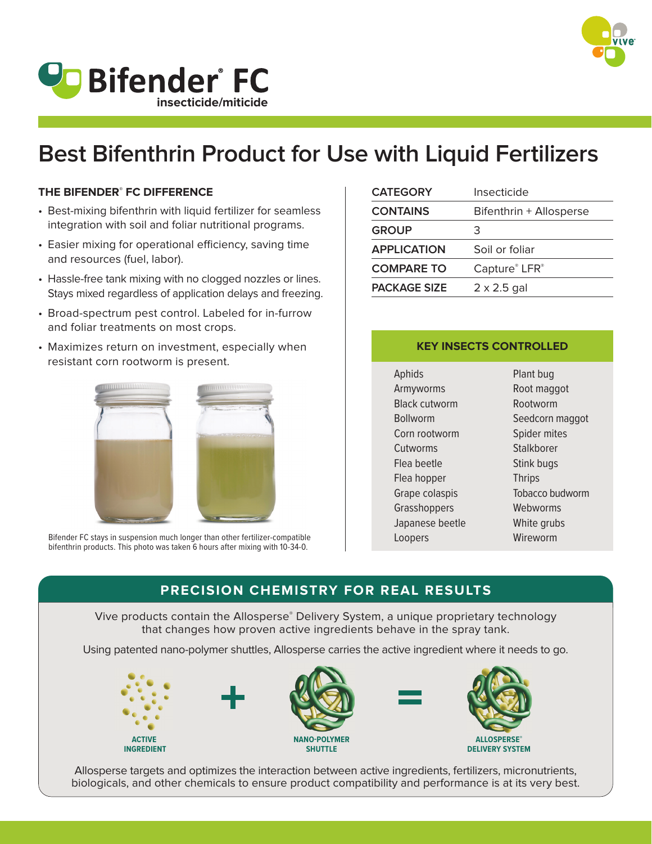

## **VD** Bifender<sup>®</sup> FC **insecticide/miticide**

# **Best Bifenthrin Product for Use with Liquid Fertilizers**

#### **THE BIFENDER® FC DIFFERENCE**

- Best-mixing bifenthrin with liquid fertilizer for seamless integration with soil and foliar nutritional programs.
- Easier mixing for operational efficiency, saving time and resources (fuel, labor).
- Hassle-free tank mixing with no clogged nozzles or lines. Stays mixed regardless of application delays and freezing.
- Broad-spectrum pest control. Labeled for in-furrow and foliar treatments on most crops.
- Maximizes return on investment, especially when resistant corn rootworm is present.



Bifender FC stays in suspension much longer than other fertilizer-compatible bifenthrin products. This photo was taken 6 hours after mixing with 10-34-0.

| <b>CATEGORY</b>     | Insecticide             |  |  |
|---------------------|-------------------------|--|--|
| <b>CONTAINS</b>     | Bifenthrin + Allosperse |  |  |
| <b>GROUP</b>        | З                       |  |  |
| <b>APPLICATION</b>  | Soil or foliar          |  |  |
| <b>COMPARE TO</b>   | Capture® LFR®           |  |  |
| <b>PACKAGE SIZE</b> | $2 \times 2.5$ gal      |  |  |

#### **KEY INSECTS CONTROLLED**

Aphids Armyworms Black cutworm Bollworm Corn rootworm **Cutworms** Flea beetle Flea hopper Grape colaspis Grasshoppers Japanese beetle Loopers

Plant bug Root maggot Rootworm Seedcorn maggot Spider mites **Stalkborer** Stink bugs **Thrips** Tobacco budworm Webworms White grubs Wireworm

### **PRECISION CHEMISTRY FOR REAL RESULTS**

Vive products contain the Allosperse® Delivery System, a unique proprietary technology that changes how proven active ingredients behave in the spray tank.

Using patented nano-polymer shuttles, Allosperse carries the active ingredient where it needs to go.



Allosperse targets and optimizes the interaction between active ingredients, fertilizers, micronutrients, biologicals, and other chemicals to ensure product compatibility and performance is at its very best.